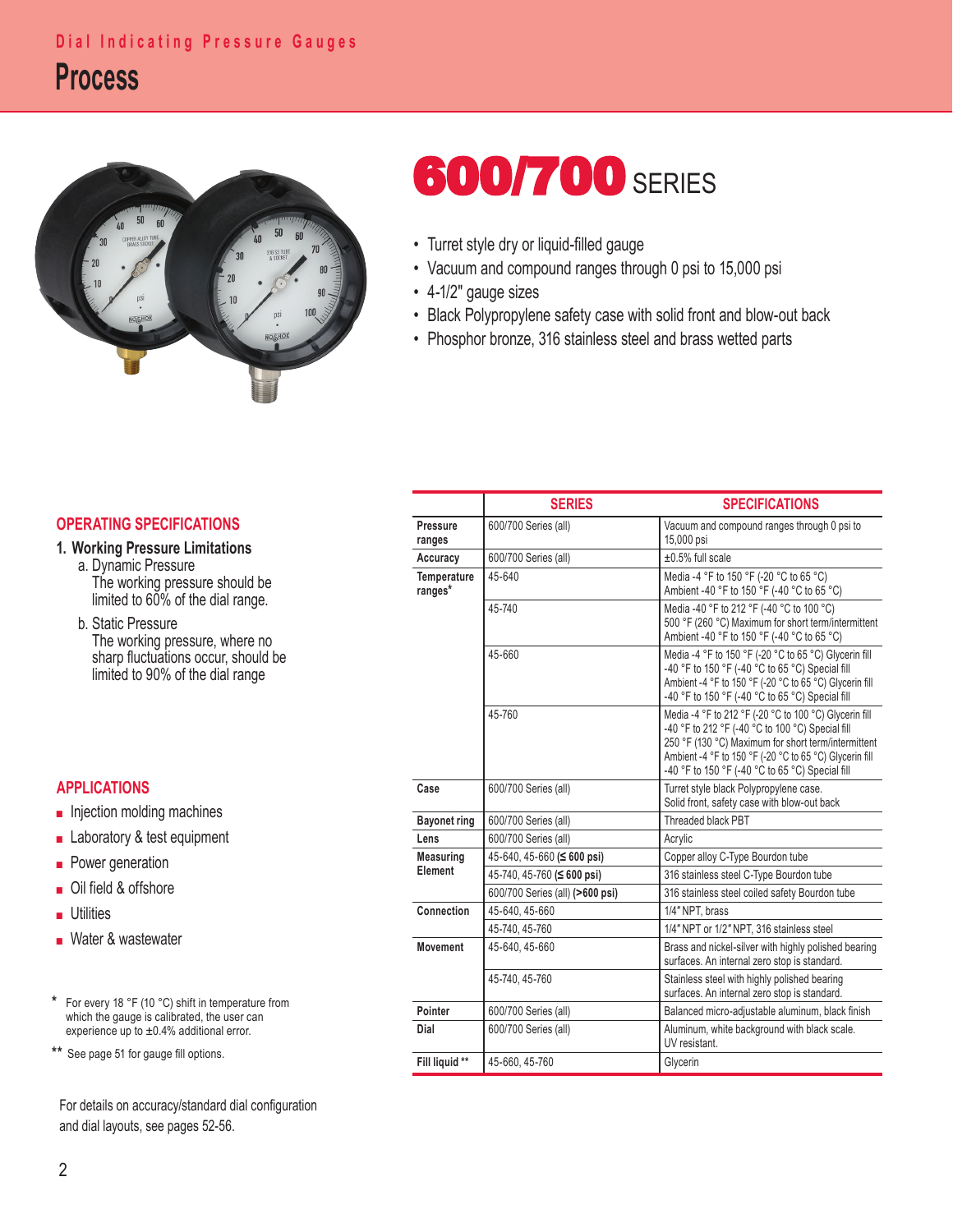

# **600/700** SERIES

- Turret style dry or liquid-filled gauge
- Vacuum and compound ranges through 0 psi to 15,000 psi
- 4-1/2" gauge sizes
- Black Polypropylene safety case with solid front and blow-out back
- Phosphor bronze, 316 stainless steel and brass wetted parts

#### **OPERATING SPECIFICATIONS**

### **1. Working Pressure Limitations**

- a. Dynamic Pressure The working pressure should be limited to 60% of the dial range.
	- b. Static Pressure The working pressure, where no sharp fluctuations occur, should be limited to 90% of the dial range

### **APPLICATIONS**

- Injection molding machines
- Laboratory & test equipment
- Power generation
- Oil field & offshore
- Utilities
- Water & wastewater
- **\*** For every 18 °F (10 °C) shift in temperature from which the gauge is calibrated, the user can experience up to ±0.4% additional error.
- **\*\*** See page 51 for gauge fill options.

For details on accuracy/standard dial configuration and dial layouts, see pages 52-56.

|                               | <b>SERIES</b>                    | <b>SPECIFICATIONS</b>                                                                                                                                                                                                                                                           |  |  |  |
|-------------------------------|----------------------------------|---------------------------------------------------------------------------------------------------------------------------------------------------------------------------------------------------------------------------------------------------------------------------------|--|--|--|
| <b>Pressure</b><br>ranges     | 600/700 Series (all)             | Vacuum and compound ranges through 0 psi to<br>15,000 psi                                                                                                                                                                                                                       |  |  |  |
| Accuracy                      | 600/700 Series (all)             | $\pm 0.5\%$ full scale                                                                                                                                                                                                                                                          |  |  |  |
| <b>Temperature</b><br>ranges* | 45-640                           | Media -4 °F to 150 °F (-20 °C to 65 °C)<br>Ambient -40 °F to 150 °F (-40 °C to 65 °C)                                                                                                                                                                                           |  |  |  |
|                               | 45-740                           | Media -40 °F to 212 °F (-40 °C to 100 °C)<br>500 °F (260 °C) Maximum for short term/intermittent<br>Ambient -40 °F to 150 °F (-40 °C to 65 °C)                                                                                                                                  |  |  |  |
|                               | 45-660                           | Media -4 °F to 150 °F (-20 °C to 65 °C) Glycerin fill<br>-40 °F to 150 °F (-40 °C to 65 °C) Special fill<br>Ambient -4 °F to 150 °F (-20 °C to 65 °C) Glycerin fill<br>-40 °F to 150 °F (-40 °C to 65 °C) Special fill                                                          |  |  |  |
|                               | 45-760                           | Media -4 °F to 212 °F (-20 °C to 100 °C) Glycerin fill<br>-40 °F to 212 °F (-40 °C to 100 °C) Special fill<br>250 °F (130 °C) Maximum for short term/intermittent<br>Ambient -4 °F to 150 °F (-20 °C to 65 °C) Glycerin fill<br>-40 °F to 150 °F (-40 °C to 65 °C) Special fill |  |  |  |
| Case                          | 600/700 Series (all)             | Turret style black Polypropylene case.<br>Solid front, safety case with blow-out back                                                                                                                                                                                           |  |  |  |
| <b>Bayonet ring</b>           | 600/700 Series (all)             | Threaded black PBT                                                                                                                                                                                                                                                              |  |  |  |
| Lens                          | 600/700 Series (all)             | Acrylic                                                                                                                                                                                                                                                                         |  |  |  |
| Measuring<br>Element          | 45-640, 45-660 ( $\leq$ 600 psi) | Copper alloy C-Type Bourdon tube                                                                                                                                                                                                                                                |  |  |  |
|                               | 45-740, 45-760 (≤ 600 psi)       | 316 stainless steel C-Type Bourdon tube                                                                                                                                                                                                                                         |  |  |  |
|                               | 600/700 Series (all) (>600 psi)  | 316 stainless steel coiled safety Bourdon tube                                                                                                                                                                                                                                  |  |  |  |
| Connection                    | 45-640, 45-660                   | 1/4" NPT, brass                                                                                                                                                                                                                                                                 |  |  |  |
|                               | 45-740, 45-760                   | 1/4" NPT or 1/2" NPT, 316 stainless steel                                                                                                                                                                                                                                       |  |  |  |
| <b>Movement</b>               | 45-640.45-660                    | Brass and nickel-silver with highly polished bearing<br>surfaces. An internal zero stop is standard.                                                                                                                                                                            |  |  |  |
|                               | 45-740.45-760                    | Stainless steel with highly polished bearing<br>surfaces. An internal zero stop is standard.                                                                                                                                                                                    |  |  |  |
| Pointer                       | 600/700 Series (all)             | Balanced micro-adjustable aluminum, black finish                                                                                                                                                                                                                                |  |  |  |
| Dial                          | 600/700 Series (all)             | Aluminum, white background with black scale.<br>UV resistant.                                                                                                                                                                                                                   |  |  |  |
| Fill liquid **                | 45-660, 45-760                   | Glycerin                                                                                                                                                                                                                                                                        |  |  |  |